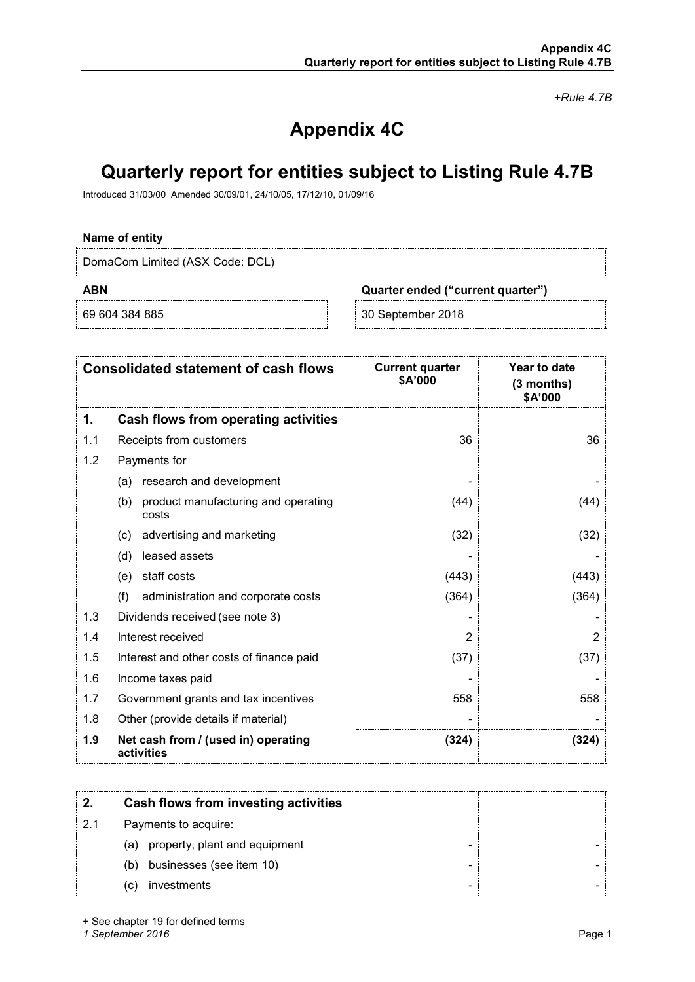*+Rule 4.7B*

# **Appendix 4C**

# **Quarterly report for entities subject to Listing Rule 4.7B**

Introduced 31/03/00 Amended 30/09/01, 24/10/05, 17/12/10, 01/09/16

### **Name of entity**

DomaCom Limited (ASX Code: DCL)

**ABN Quarter ended ("current quarter")**

69 604 384 885 30 September 2018

|     | <b>Consolidated statement of cash flows</b>         | <b>Current quarter</b><br>\$A'000 | Year to date<br>$(3$ months)<br>\$A'000 |
|-----|-----------------------------------------------------|-----------------------------------|-----------------------------------------|
| 1.  | Cash flows from operating activities                |                                   |                                         |
| 1.1 | Receipts from customers                             | 36                                | 36                                      |
| 1.2 | Payments for                                        |                                   |                                         |
|     | research and development<br>(a)                     |                                   |                                         |
|     | (b)<br>product manufacturing and operating<br>costs | (44)                              | (44)                                    |
|     | advertising and marketing<br>(c)                    | (32)                              | (32)                                    |
|     | leased assets<br>(d)                                |                                   |                                         |
|     | staff costs<br>(e)                                  | (443)                             | (443)                                   |
|     | (f)<br>administration and corporate costs           | (364)                             | (364)                                   |
| 1.3 | Dividends received (see note 3)                     |                                   |                                         |
| 1.4 | Interest received                                   | 2                                 | 2                                       |
| 1.5 | Interest and other costs of finance paid            | (37)                              | (37)                                    |
| 1.6 | Income taxes paid                                   |                                   |                                         |
| 1.7 | Government grants and tax incentives                | 558                               | 558                                     |
| 1.8 | Other (provide details if material)                 |                                   |                                         |
| 1.9 | Net cash from / (used in) operating<br>activities   | (324)                             | (324)                                   |

|    | Cash flows from investing activities |  |
|----|--------------------------------------|--|
| 21 | Payments to acquire:                 |  |
|    | (a) property, plant and equipment    |  |
|    | businesses (see item 10)<br>(b)      |  |
|    | investments<br>(C)                   |  |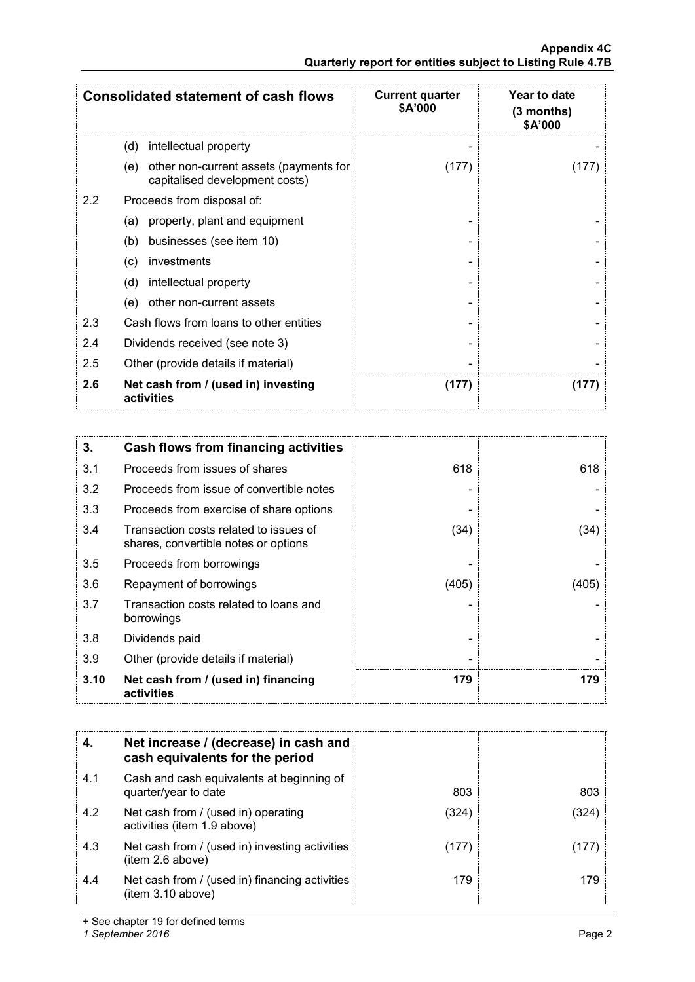|     | <b>Consolidated statement of cash flows</b>                                     | <b>Current quarter</b><br>\$A'000 | Year to date<br>$(3$ months)<br>\$A'000 |
|-----|---------------------------------------------------------------------------------|-----------------------------------|-----------------------------------------|
|     | (d)<br>intellectual property                                                    |                                   |                                         |
|     | other non-current assets (payments for<br>(e)<br>capitalised development costs) | (177)                             |                                         |
| 2.2 | Proceeds from disposal of:                                                      |                                   |                                         |
|     | property, plant and equipment<br>(a)                                            |                                   |                                         |
|     | businesses (see item 10)<br>(b)                                                 |                                   |                                         |
|     | investments<br>(c)                                                              |                                   |                                         |
|     | (d)<br>intellectual property                                                    |                                   |                                         |
|     | other non-current assets<br>(e)                                                 |                                   |                                         |
| 2.3 | Cash flows from loans to other entities                                         |                                   |                                         |
| 2.4 | Dividends received (see note 3)                                                 |                                   |                                         |
| 2.5 | Other (provide details if material)                                             |                                   |                                         |
| 2.6 | Net cash from / (used in) investing<br>activities                               | (177)                             | l 177                                   |

| 3.   | Cash flows from financing activities                                           |       |       |
|------|--------------------------------------------------------------------------------|-------|-------|
| 3.1  | Proceeds from issues of shares                                                 | 618   | 618   |
| 3.2  | Proceeds from issue of convertible notes                                       |       |       |
| 3.3  | Proceeds from exercise of share options                                        |       |       |
| 3.4  | Transaction costs related to issues of<br>shares, convertible notes or options | (34)  | (34)  |
| 3.5  | Proceeds from borrowings                                                       |       |       |
| 3.6  | Repayment of borrowings                                                        | (405) | (405) |
| 3.7  | Transaction costs related to loans and<br>borrowings                           |       |       |
| 3.8  | Dividends paid                                                                 |       |       |
| 3.9  | Other (provide details if material)                                            |       |       |
| 3.10 | Net cash from / (used in) financing<br>activities                              | 179   | 179   |

|     | Net increase / (decrease) in cash and<br>cash equivalents for the period |       |     |
|-----|--------------------------------------------------------------------------|-------|-----|
| 4.1 | Cash and cash equivalents at beginning of<br>quarter/year to date        | 803   | 803 |
| 4.2 | Net cash from / (used in) operating<br>activities (item 1.9 above)       | (324) | 324 |
| 4.3 | Net cash from / (used in) investing activities<br>item 2.6 above)        | (177  |     |
| 4.4 | Net cash from / (used in) financing activities<br>(item 3.10 above)      | 179   | 179 |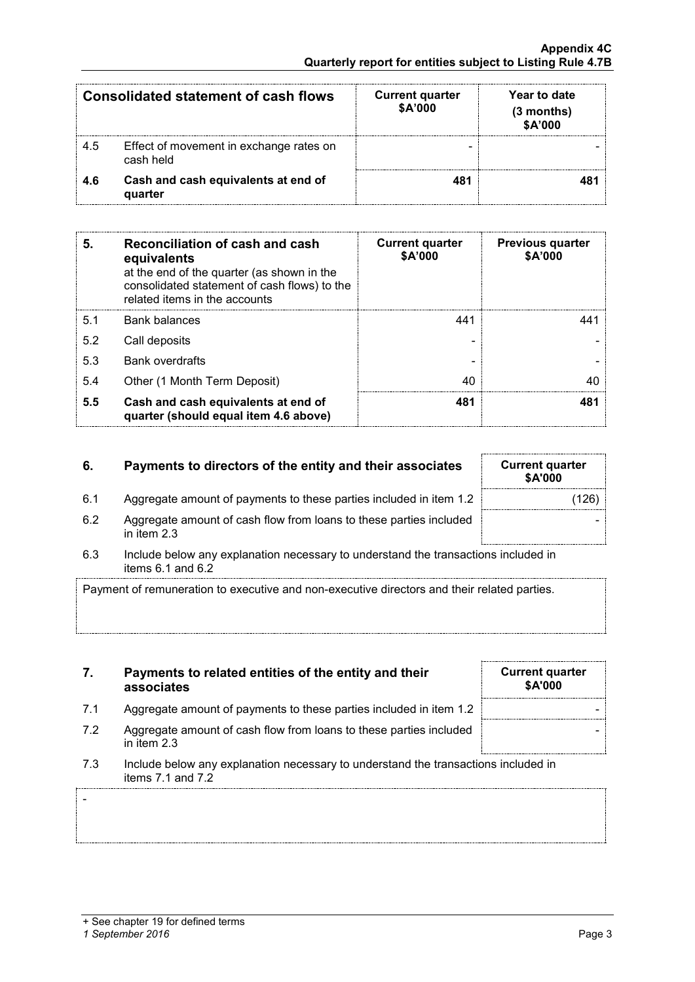-

| Consolidated statement of cash flows |                                                      | <b>Current quarter</b><br><b>\$A'000</b> | Year to date<br>(3 months)<br>\$A'000 |
|--------------------------------------|------------------------------------------------------|------------------------------------------|---------------------------------------|
| -4.5                                 | Effect of movement in exchange rates on<br>cash held |                                          |                                       |
| 4 R                                  | Cash and cash equivalents at end of<br>quarter       |                                          |                                       |

| 5.  | Reconciliation of cash and cash<br>equivalents<br>at the end of the quarter (as shown in the<br>consolidated statement of cash flows) to the<br>related items in the accounts | <b>Current quarter</b><br>\$A'000 | <b>Previous quarter</b><br>\$A'000 |
|-----|-------------------------------------------------------------------------------------------------------------------------------------------------------------------------------|-----------------------------------|------------------------------------|
| 5.1 | Bank balances                                                                                                                                                                 | 441                               | 111                                |
| 5.2 | Call deposits                                                                                                                                                                 |                                   |                                    |
| 5.3 | <b>Bank overdrafts</b>                                                                                                                                                        |                                   |                                    |
| 5.4 | Other (1 Month Term Deposit)                                                                                                                                                  | 40                                |                                    |
| 5.5 | Cash and cash equivalents at end of<br>quarter (should equal item 4.6 above)                                                                                                  | 481                               |                                    |

# **6.** Payments to directors of the entity and their associates

- 6.1 Aggregate amount of payments to these parties included in item 1.2
- 6.2 Aggregate amount of cash flow from loans to these parties included in item 2.3
- 6.3 Include below any explanation necessary to understand the transactions included in items 6.1 and 6.2

Payment of remuneration to executive and non-executive directors and their related parties.

- **7. Payments to related entities of the entity and their associates**
- 7.1 Aggregate amount of payments to these parties included in item 1.2
- 7.2 Aggregate amount of cash flow from loans to these parties included in item 2.3
- 7.3 Include below any explanation necessary to understand the transactions included in items 7.1 and 7.2

| <b>Current quarter</b><br>\$A'000 |  |
|-----------------------------------|--|
|                                   |  |
|                                   |  |
|                                   |  |

| <b>Current quarter</b><br><b>\$A'000</b> |       |
|------------------------------------------|-------|
|                                          | (126) |
|                                          |       |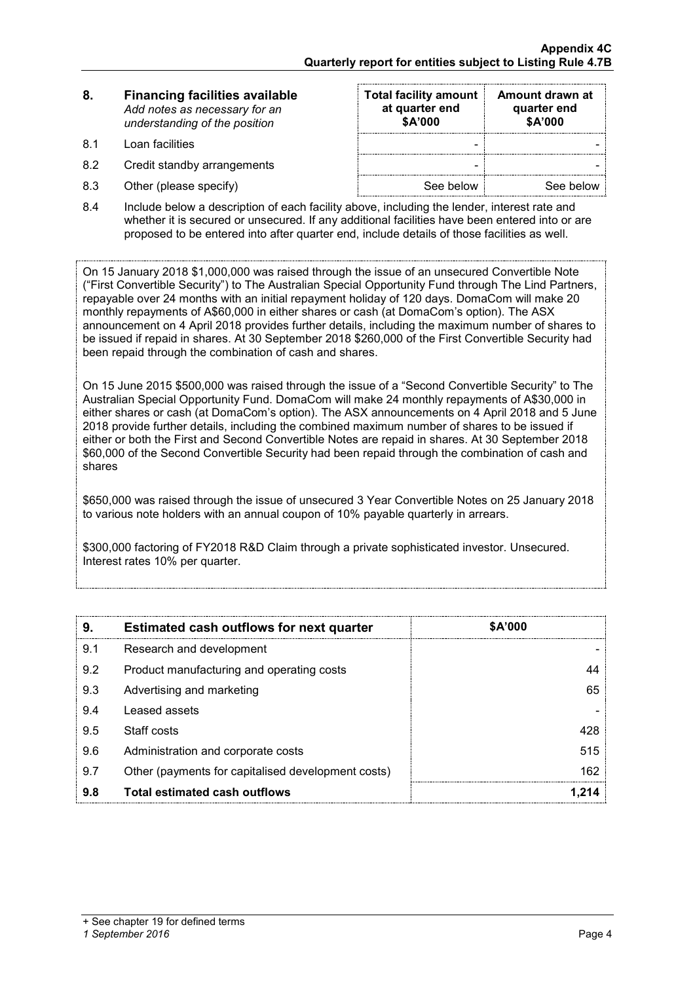| 8. | <b>Financing facilities available</b> |
|----|---------------------------------------|
|    | Add notes as necessary for an         |
|    | understanding of the position         |

- 
- 8.2 Credit standby arrangements
- $8.3$  Other (please specify)

| 8.  | <b>Financing facilities available</b><br>Add notes as necessary for an<br>understanding of the position | <b>Total facility amount</b><br>at quarter end<br>\$A'000 | Amount drawn at<br>quarter end<br>\$A'000 |
|-----|---------------------------------------------------------------------------------------------------------|-----------------------------------------------------------|-------------------------------------------|
| 81  | Loan facilities                                                                                         | -                                                         |                                           |
| 8.2 | Credit standby arrangements                                                                             | -                                                         |                                           |
| 8.3 | Other (please specify)                                                                                  | See below                                                 | See below                                 |

8.4 Include below a description of each facility above, including the lender, interest rate and whether it is secured or unsecured. If any additional facilities have been entered into or are proposed to be entered into after quarter end, include details of those facilities as well.

On 15 January 2018 \$1,000,000 was raised through the issue of an unsecured Convertible Note ("First Convertible Security") to The Australian Special Opportunity Fund through The Lind Partners, repayable over 24 months with an initial repayment holiday of 120 days. DomaCom will make 20 monthly repayments of A\$60,000 in either shares or cash (at DomaCom's option). The ASX announcement on 4 April 2018 provides further details, including the maximum number of shares to be issued if repaid in shares. At 30 September 2018 \$260,000 of the First Convertible Security had been repaid through the combination of cash and shares.

On 15 June 2015 \$500,000 was raised through the issue of a "Second Convertible Security" to The Australian Special Opportunity Fund. DomaCom will make 24 monthly repayments of A\$30,000 in either shares or cash (at DomaCom's option). The ASX announcements on 4 April 2018 and 5 June 2018 provide further details, including the combined maximum number of shares to be issued if either or both the First and Second Convertible Notes are repaid in shares. At 30 September 2018 \$60,000 of the Second Convertible Security had been repaid through the combination of cash and shares

\$650,000 was raised through the issue of unsecured 3 Year Convertible Notes on 25 January 2018 to various note holders with an annual coupon of 10% payable quarterly in arrears.

\$300,000 factoring of FY2018 R&D Claim through a private sophisticated investor. Unsecured. Interest rates 10% per quarter.

| 9.  | <b>Estimated cash outflows for next quarter</b>    | <b>SA'000</b> |
|-----|----------------------------------------------------|---------------|
| 9.1 | Research and development                           |               |
| 9.2 | Product manufacturing and operating costs          |               |
| 9.3 | Advertising and marketing                          | 65            |
| 9.4 | Leased assets                                      |               |
| 9.5 | Staff costs                                        | 428           |
| 9.6 | Administration and corporate costs                 | 515           |
| 9.7 | Other (payments for capitalised development costs) | 162           |
| 9.8 | <b>Total estimated cash outflows</b>               |               |